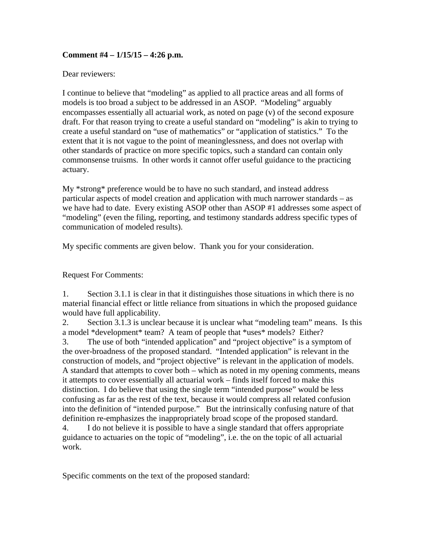## **Comment #4 – 1/15/15 – 4:26 p.m.**

## Dear reviewers:

I continue to believe that "modeling" as applied to all practice areas and all forms of models is too broad a subject to be addressed in an ASOP. "Modeling" arguably encompasses essentially all actuarial work, as noted on page (v) of the second exposure draft. For that reason trying to create a useful standard on "modeling" is akin to trying to create a useful standard on "use of mathematics" or "application of statistics." To the extent that it is not vague to the point of meaninglessness, and does not overlap with other standards of practice on more specific topics, such a standard can contain only commonsense truisms. In other words it cannot offer useful guidance to the practicing actuary.

My \*strong\* preference would be to have no such standard, and instead address particular aspects of model creation and application with much narrower standards – as we have had to date. Every existing ASOP other than ASOP #1 addresses some aspect of "modeling" (even the filing, reporting, and testimony standards address specific types of communication of modeled results).

My specific comments are given below. Thank you for your consideration.

Request For Comments:

1. Section 3.1.1 is clear in that it distinguishes those situations in which there is no material financial effect or little reliance from situations in which the proposed guidance would have full applicability.

2. Section 3.1.3 is unclear because it is unclear what "modeling team" means. Is this a model \*development\* team? A team of people that \*uses\* models? Either?

3. The use of both "intended application" and "project objective" is a symptom of the over-broadness of the proposed standard. "Intended application" is relevant in the construction of models, and "project objective" is relevant in the application of models. A standard that attempts to cover both – which as noted in my opening comments, means it attempts to cover essentially all actuarial work – finds itself forced to make this distinction. I do believe that using the single term "intended purpose" would be less confusing as far as the rest of the text, because it would compress all related confusion into the definition of "intended purpose." But the intrinsically confusing nature of that definition re-emphasizes the inappropriately broad scope of the proposed standard. 4. I do not believe it is possible to have a single standard that offers appropriate guidance to actuaries on the topic of "modeling", i.e. the on the topic of all actuarial

work.

Specific comments on the text of the proposed standard: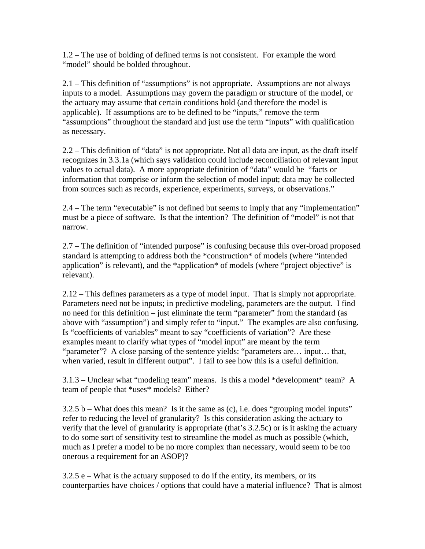1.2 – The use of bolding of defined terms is not consistent. For example the word "model" should be bolded throughout.

2.1 – This definition of "assumptions" is not appropriate. Assumptions are not always inputs to a model. Assumptions may govern the paradigm or structure of the model, or the actuary may assume that certain conditions hold (and therefore the model is applicable). If assumptions are to be defined to be "inputs," remove the term "assumptions" throughout the standard and just use the term "inputs" with qualification as necessary.

2.2 – This definition of "data" is not appropriate. Not all data are input, as the draft itself recognizes in 3.3.1a (which says validation could include reconciliation of relevant input values to actual data). A more appropriate definition of "data" would be "facts or information that comprise or inform the selection of model input; data may be collected from sources such as records, experience, experiments, surveys, or observations."

2.4 – The term "executable" is not defined but seems to imply that any "implementation" must be a piece of software. Is that the intention? The definition of "model" is not that narrow.

2.7 – The definition of "intended purpose" is confusing because this over-broad proposed standard is attempting to address both the \*construction\* of models (where "intended application" is relevant), and the \*application\* of models (where "project objective" is relevant).

2.12 – This defines parameters as a type of model input. That is simply not appropriate. Parameters need not be inputs; in predictive modeling, parameters are the output. I find no need for this definition – just eliminate the term "parameter" from the standard (as above with "assumption") and simply refer to "input." The examples are also confusing. Is "coefficients of variables" meant to say "coefficients of variation"? Are these examples meant to clarify what types of "model input" are meant by the term "parameter"? A close parsing of the sentence yields: "parameters are… input… that, when varied, result in different output". I fail to see how this is a useful definition.

3.1.3 – Unclear what "modeling team" means. Is this a model \*development\* team? A team of people that \*uses\* models? Either?

 $3.2.5$  b – What does this mean? Is it the same as (c), i.e. does "grouping model inputs" refer to reducing the level of granularity? Is this consideration asking the actuary to verify that the level of granularity is appropriate (that's 3.2.5c) or is it asking the actuary to do some sort of sensitivity test to streamline the model as much as possible (which, much as I prefer a model to be no more complex than necessary, would seem to be too onerous a requirement for an ASOP)?

 $3.2.5$  e – What is the actuary supposed to do if the entity, its members, or its counterparties have choices / options that could have a material influence? That is almost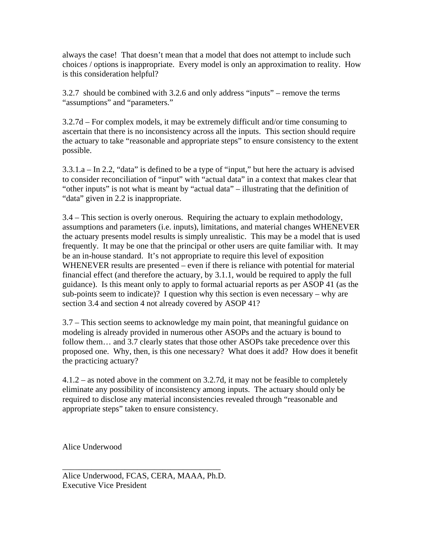always the case! That doesn't mean that a model that does not attempt to include such choices / options is inappropriate. Every model is only an approximation to reality. How is this consideration helpful?

3.2.7 should be combined with 3.2.6 and only address "inputs" – remove the terms "assumptions" and "parameters."

3.2.7d – For complex models, it may be extremely difficult and/or time consuming to ascertain that there is no inconsistency across all the inputs. This section should require the actuary to take "reasonable and appropriate steps" to ensure consistency to the extent possible.

3.3.1.a – In 2.2, "data" is defined to be a type of "input," but here the actuary is advised to consider reconciliation of "input" with "actual data" in a context that makes clear that "other inputs" is not what is meant by "actual data" – illustrating that the definition of "data" given in 2.2 is inappropriate.

3.4 – This section is overly onerous. Requiring the actuary to explain methodology, assumptions and parameters (i.e. inputs), limitations, and material changes WHENEVER the actuary presents model results is simply unrealistic. This may be a model that is used frequently. It may be one that the principal or other users are quite familiar with. It may be an in-house standard. It's not appropriate to require this level of exposition WHENEVER results are presented – even if there is reliance with potential for material financial effect (and therefore the actuary, by 3.1.1, would be required to apply the full guidance). Is this meant only to apply to formal actuarial reports as per ASOP 41 (as the sub-points seem to indicate)? I question why this section is even necessary – why are section 3.4 and section 4 not already covered by ASOP 41?

3.7 – This section seems to acknowledge my main point, that meaningful guidance on modeling is already provided in numerous other ASOPs and the actuary is bound to follow them... and 3.7 clearly states that those other ASOPs take precedence over this proposed one. Why, then, is this one necessary? What does it add? How does it benefit the practicing actuary?

4.1.2 – as noted above in the comment on 3.2.7d, it may not be feasible to completely eliminate any possibility of inconsistency among inputs. The actuary should only be required to disclose any material inconsistencies revealed through "reasonable and appropriate steps" taken to ensure consistency.

Alice Underwood

\_\_\_\_\_\_\_\_\_\_\_\_\_\_\_\_\_\_\_\_\_\_\_\_\_\_\_\_\_\_\_\_\_\_\_\_\_\_

Alice Underwood, FCAS, CERA, MAAA, Ph.D. Executive Vice President